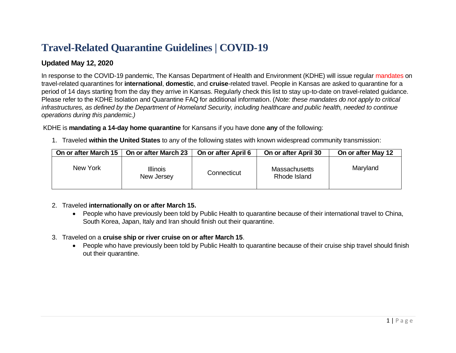# **Travel-Related Quarantine Guidelines | COVID-19**

# **Updated May 12, 2020**

In response to the COVID-19 pandemic, The Kansas Department of Health and Environment (KDHE) will issue regular mandates on travel-related quarantines for **international**, **domestic**, and **cruise**-related travel. People in Kansas are asked to quarantine for a period of 14 days starting from the day they arrive in Kansas. Regularly check this list to stay up-to-date on travel-related guidance. Please refer to the KDHE Isolation and Quarantine FAQ for additional information. (*Note: these mandates do not apply to critical infrastructures, as defined by the Department of Homeland Security, including healthcare and public health, needed to continue operations during this pandemic.)*

### KDHE is **mandating a 14-day home quarantine** for Kansans if you have done **any** of the following:

1. Traveled **within the United States** to any of the following states with known widespread community transmission:

| On or after March 15 | On or after March 23          | On or after April 6 | On or after April 30                 | On or after May 12 |
|----------------------|-------------------------------|---------------------|--------------------------------------|--------------------|
| New York             | <b>Illinois</b><br>New Jersey | Connecticut         | <b>Massachusetts</b><br>Rhode Island | Maryland           |

## 2. Traveled **internationally on or after March 15.**

- People who have previously been told by Public Health to quarantine because of their international travel to China, South Korea, Japan, Italy and Iran should finish out their quarantine.
- 3. Traveled on a **cruise ship or river cruise on or after March 15**.
	- People who have previously been told by Public Health to quarantine because of their cruise ship travel should finish out their quarantine.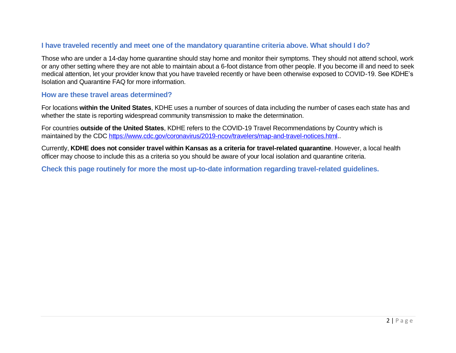# **I have traveled recently and meet one of the mandatory quarantine criteria above. What should I do?**

Those who are under a 14-day home quarantine should stay home and monitor their symptoms. They should not attend school, work or any other setting where they are not able to maintain about a 6-foot distance from other people. If you become ill and need to seek medical attention, let your provider know that you have traveled recently or have been otherwise exposed to COVID-19. See KDHE's Isolation and Quarantine FAQ for more information.

### **How are these travel areas determined?**

For locations **within the United States**, KDHE uses a number of sources of data including the number of cases each state has and whether the state is reporting widespread community transmission to make the determination.

For countries **outside of the United States**, KDHE refers to the COVID-19 Travel Recommendations by Country which is maintained by the CDC [https://www.cdc.gov/coronavirus/2019-ncov/travelers/map-and-travel-notices.html.](https://www.cdc.gov/coronavirus/2019-ncov/travelers/map-and-travel-notices.html).

Currently, **KDHE does not consider travel within Kansas as a criteria for travel-related quarantine**. However, a local health officer may choose to include this as a criteria so you should be aware of your local isolation and quarantine criteria.

**Check this page routinely for more the most up-to-date information regarding travel-related guidelines.**